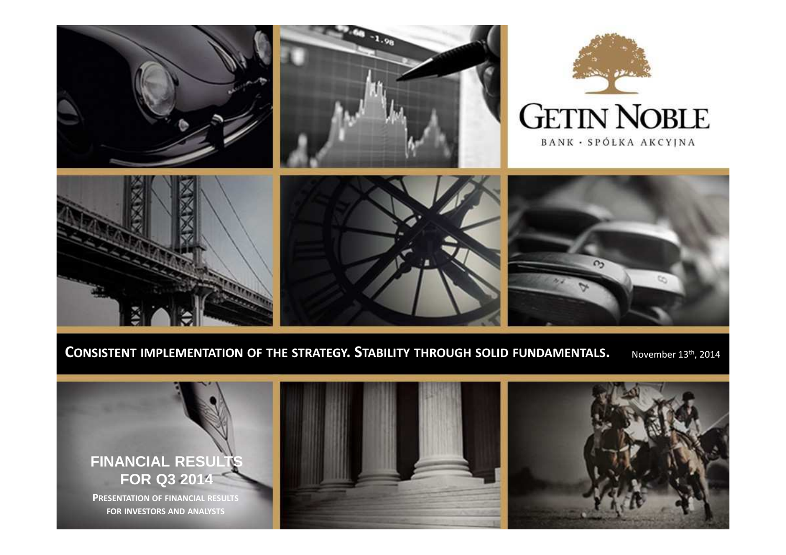

CONSISTENT IMPLEMENTATION OF THE STRATEGY. STABILITY THROUGH SOLID FUNDAMENTALS. November 13th, 2014

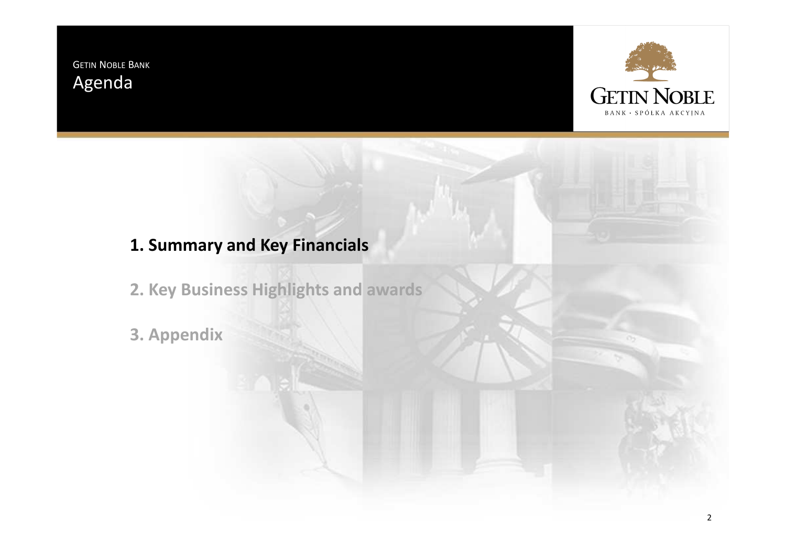GETIN <sup>N</sup>OBLE <sup>B</sup>ANK Agenda



# **1. Summary and Key Financials**

**2. Key Business Highlights and awards**

**3. Appendix**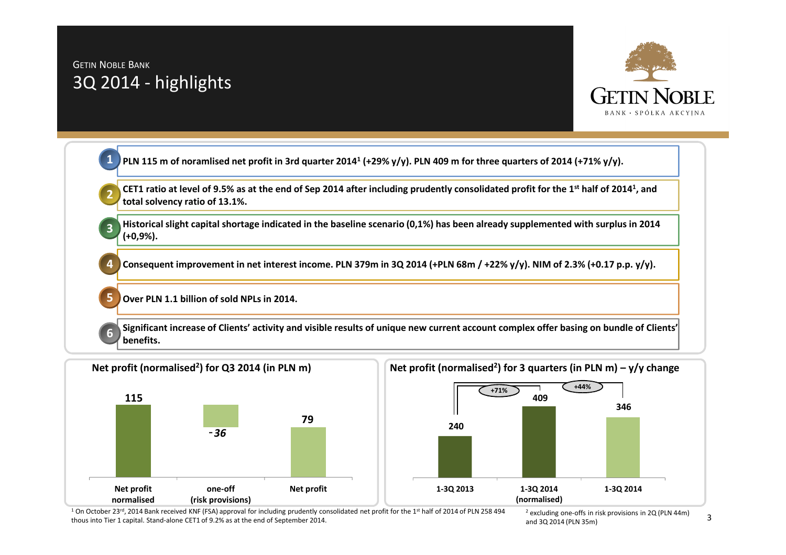## GETIN <sup>N</sup>OBLE <sup>B</sup>ANK 3Q 2014 - highlights

**5**

**6**



**PLN 115 m of noramlised net profit in 3rd quarter 2014<sup>1</sup> (+29% y/y). PLN 409 m for three quarters of 2014 (+71% y/y). 1**

**CET1 ratio at level of 9.5% as at the end of Sep 2014 after including prudently consolidated profit for the 1st half of 2014<sup>1</sup>, and total solvency ratio of 13.1%.2**

**Historical slight capital shortage indicated in the baseline scenario (0,1%) has been already supplemented with surplus in 2014 (+0,9%).3**

**Consequent improvement in net interest income. PLN 379m in 3Q 2014 (+PLN 68m / +22% y/y). NIM of 2.3% (+0.17 p.p. y/y). 4**

**Over PLN 1.1 billion of sold NPLs in 2014.**

**Significant increase of Clients' activity and visible results of unique new current account complex offer basing on bundle of Clients' benefits.**





<sup>1</sup> On October 23<sup>rd</sup>, 2014 Bank received KNF (FSA) approval for including prudently consolidated net profit for the 1<sup>st</sup> half of 2014 of PLN 258 494 thous into Tier 1 capital. Stand-alone CET1 of 9.2% as at the end of September 2014.

2 excluding one-offs in risk provisions in 2Q (PLN 44m) and 3Q 2014 (PLN 35m)

3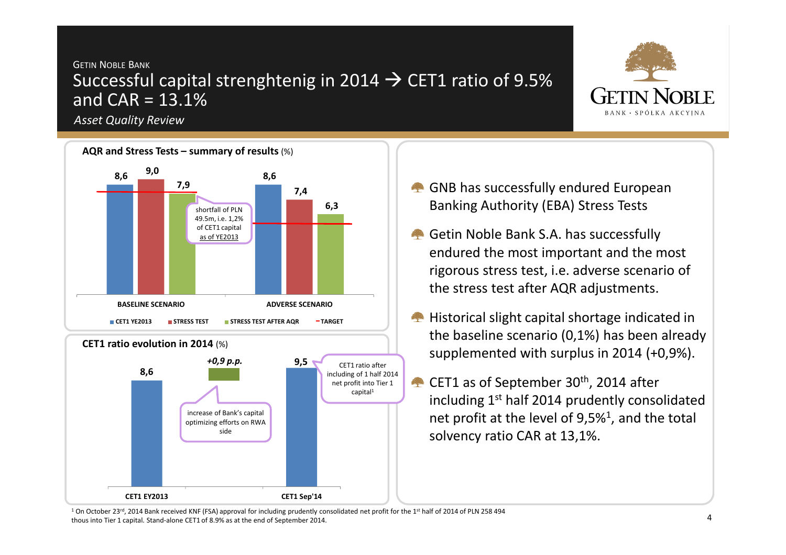## GETIN <sup>N</sup>OBLE <sup>B</sup>ANK Successful capital strenghtenig in 2014 → CET1 ratio of 9.5%<br>and CAR = 13.1% and  $CAR = 13.1%$

*Asset Quality Review* 



- GNB has successfully endured European Banking Authority (EBA) Stress Tests
- Getin Noble Bank S.A. has successfully endured the most important and the most rigorous stress test, i.e. adverse scenario of the stress test after AQR adjustments.
- **Historical slight capital shortage indicated in** the baseline scenario (0,1%) has been already supplemented with surplus in 2014 (+0,9%).
- CET1 as of September 30<sup>th</sup>, 2014 after including  $1^{\text{st}}$  half 2014 prudently consolidated net profit at the level of 9,5%<sup>1</sup>, and the total solvency ratio CAR at 13,1%.

<sup>1</sup> On October 23<sup>rd</sup>, 2014 Bank received KNF (FSA) approval for including prudently consolidated net profit for the 1<sup>st</sup> half of 2014 of PLN 258 494 thous into Tier 1 capital. Stand-alone CET1 of 8.9% as at the end of September 2014.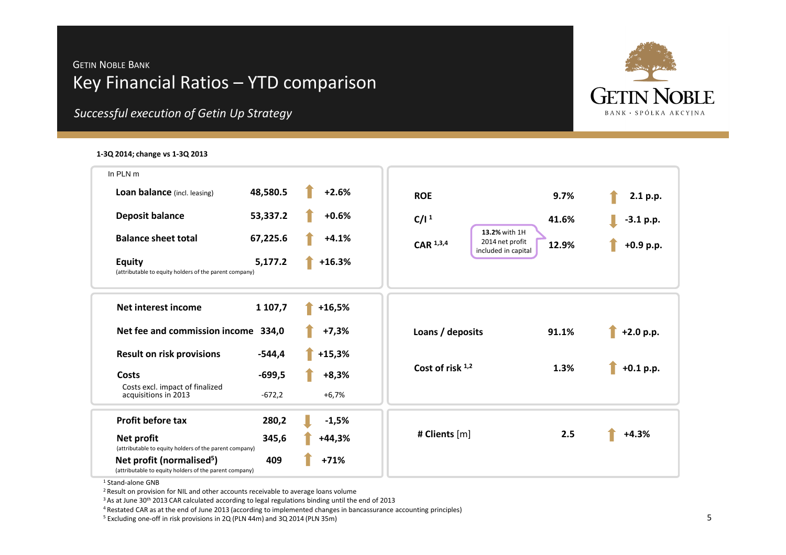### GETIN <sup>N</sup>OBLE <sup>B</sup>ANK Key Financial Ratios – YTD comparison



### **1-3Q 2014; change vs 1-3Q 2013**



1 Stand-alone GNB

<sup>2</sup> Result on provision for NIL and other accounts receivable to average loans volume

<sup>3</sup> As at June 30<sup>th</sup> 2013 CAR calculated according to legal regulations binding until the end of 2013

4 Restated CAR as at the end of June 2013 (according to implemented changes in bancassurance accounting principles)

5 Excluding one-off in risk provisions in 2Q (PLN 44m) and 3Q 2014 (PLN 35m)

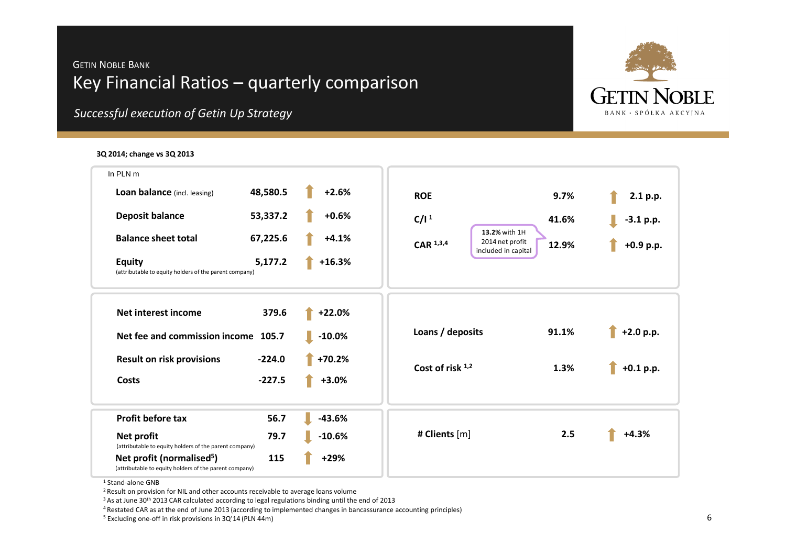### GETIN <sup>N</sup>OBLE <sup>B</sup>ANK Key Financial Ratios – quarterly comparison



*Successful execution of Getin Up Strategy*

### **3Q 2014; change vs 3Q 2013**



1 Stand-alone GNB

<sup>2</sup> Result on provision for NIL and other accounts receivable to average loans volume

<sup>3</sup> As at June 30<sup>th</sup> 2013 CAR calculated according to legal regulations binding until the end of 2013

4 Restated CAR as at the end of June 2013 (according to implemented changes in bancassurance accounting principles)

5 Excluding one-off in risk provisions in 3Q'14 (PLN 44m)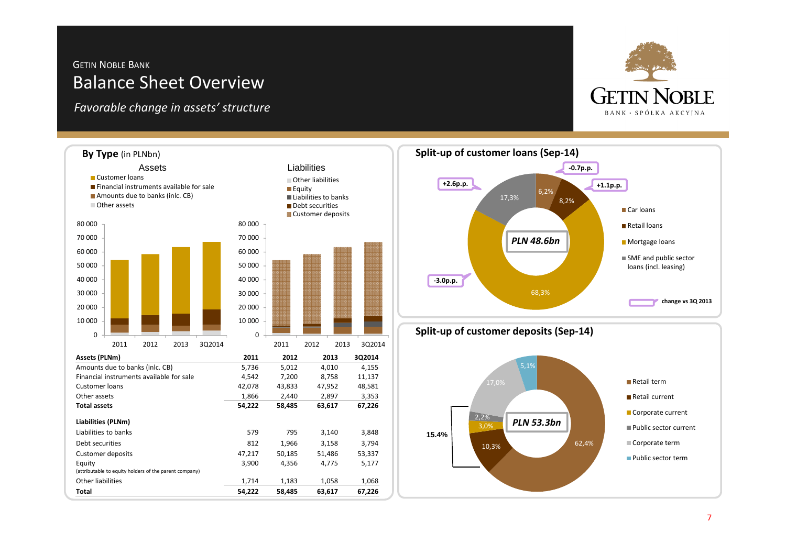### GETIN <sup>N</sup>OBLE <sup>B</sup>ANK Balance Sheet Overview

*Favorable change in assets' structure*









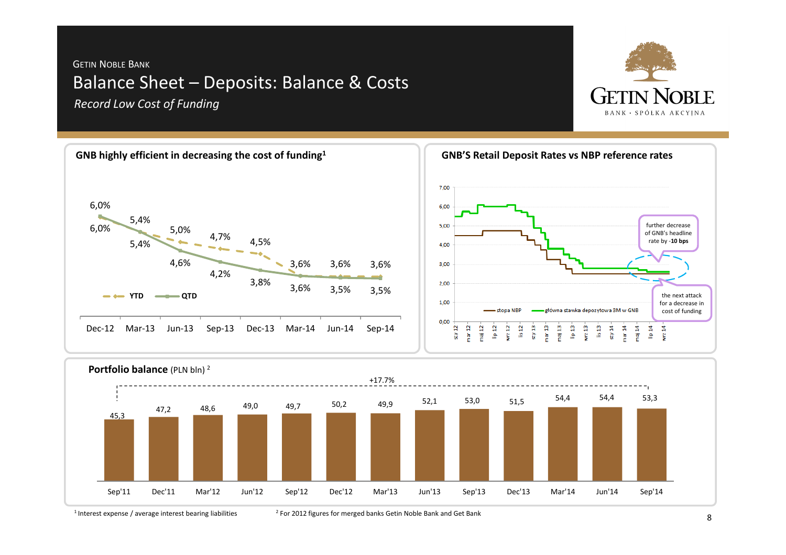## GETIN <sup>N</sup>OBLE <sup>B</sup>ANK Balance Sheet – Deposits: Balance & Costs *Record Low Cost of Funding*







 $1$  Interest expense / average interest bearing liabilities

<sup>2</sup> For 2012 figures for merged banks Getin Noble Bank and Get Bank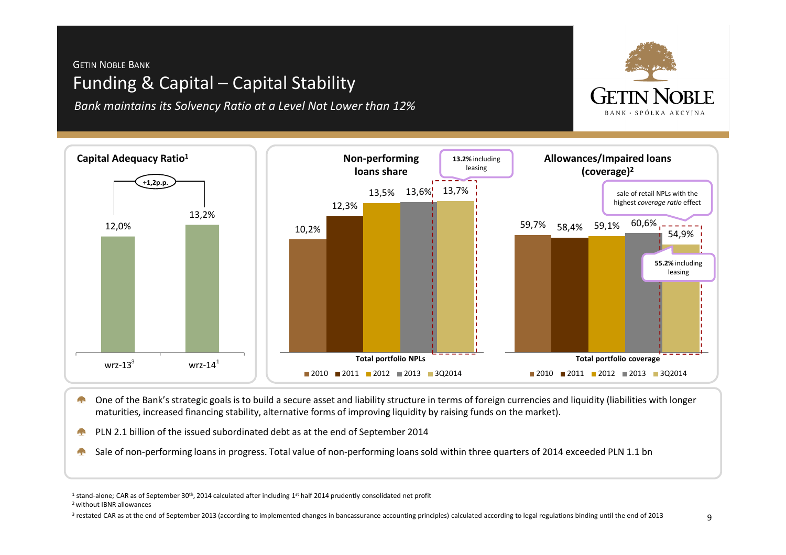## GETIN <sup>N</sup>OBLE <sup>B</sup>ANK Funding & Capital – Capital Stability

*Bank maintains its Solvency Ratio at a Level Not Lower than 12%*



One of the Bank's strategic goals is to build a secure asset and liability structure in terms of foreign currencies and liquidity (liabilities with longer a pro maturities, increased financing stability, alternative forms of improving liquidity by raising funds on the market).

PLN 2.1 billion of the issued subordinated debt as at the end of September 2014a pa

Sale of non-performing loans in progress. Total value of non-performing loans sold within three quarters of 2014 exceeded PLN 1.1 bnA.

<sup>1</sup> stand-alone; CAR as of September 30<sup>th</sup>, 2014 calculated after including 1<sup>st</sup> half 2014 prudently consolidated net profit

2 without IBNR allowances

<sup>3</sup> restated CAR as at the end of September 2013 (according to implemented changes in bancassurance accounting principles) calculated according to legal regulations binding until the end of 2013

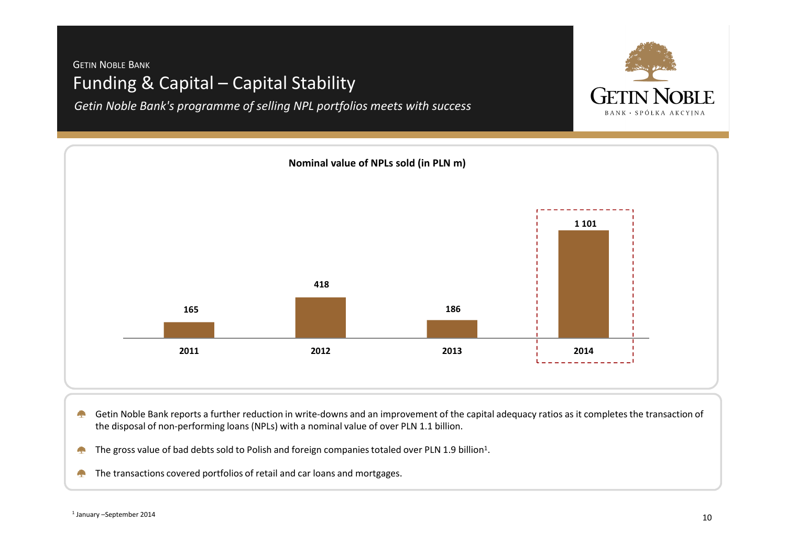### GETIN <sup>N</sup>OBLE <sup>B</sup>ANK Funding & Capital – Capital Stability

*Getin Noble Bank's programme of selling NPL portfolios meets with success*





- Getin Noble Bank reports a further reduction in write-downs and an improvement of the capital adequacy ratios as it completes the transaction of **Contract** the disposal of non-performing loans (NPLs) with a nominal value of over PLN 1.1 billion.
- The gross value of bad debts sold to Polish and foreign companies totaled over PLN 1.9 billion<sup>1</sup>. **September**
- The transactions covered portfolios of retail and car loans and mortgages.**Alex**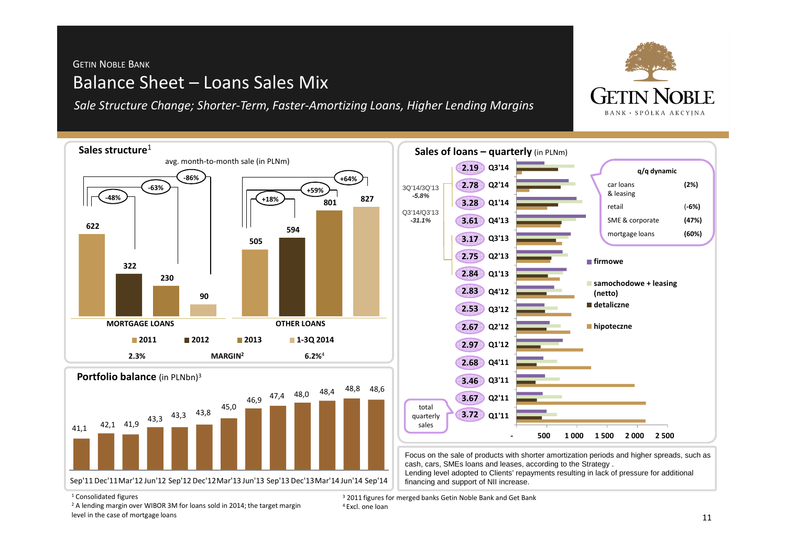## GETIN <sup>N</sup>OBLE <sup>B</sup>ANK Balance Sheet – Loans Sales Mix

*Sale Structure Change; Shorter-Term, Faster-Amortizing Loans, Higher Lending Margins* 



<sup>1</sup> Consolidated figures

 $2$  A lending margin over WIBOR 3M for loans sold in 2014; the target margin level in the case of mortgage loans

<sup>3</sup> 2011 figures for merged banks Getin Noble Bank and Get Bank 4 Excl. one loan

**GETIN NORIE BANK · SPÓŁKA AKCYINA**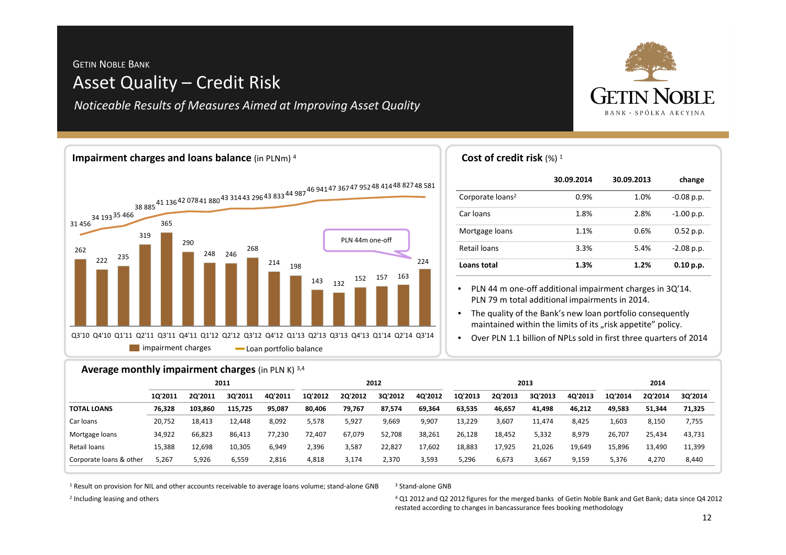## GETIN <sup>N</sup>OBLE <sup>B</sup>ANK Asset Quality – Credit Risk

*Noticeable Results of Measures Aimed at Improving Asset Quality*



### **impairment charges Loan portfolio balance** 262222 <sup>235</sup> 319365290248 <sup>246</sup>268214 198143 132 <sup>152</sup> <sup>157</sup> <sup>163</sup> 22431 456 34 19335 466 38 88541 13642 07841 88043 314 43 29643 83344 98746 94147 36747 95248 41448 82748 581 Q3'10 Q4'10 Q1'11 Q2'11 Q3'11 Q4'11 Q1'12 Q2'12 Q3'12 Q4'12 Q1'13 Q2'13 Q3'13 Q4'13 Q1'14 Q2'14 Q3'14PLN 44m one-off**Cost of credit risk**  $(\%)$  1 **Impairment charges and loans balance** (in PLNm) <sup>4</sup>

|                              | 30.09.2014 | 30.09.2013 | change       |
|------------------------------|------------|------------|--------------|
| Corporate loans <sup>2</sup> | 0.9%       | 1.0%       | $-0.08$ p.p. |
| Car loans                    | 1.8%       | 2.8%       | $-1.00$ p.p. |
| Mortgage loans               | 1.1%       | 0.6%       | $0.52$ p.p.  |
| Retail loans                 | 3.3%       | 5.4%       | $-2.08$ p.p. |
| Loans total                  | 1.3%       | 1.2%       | 0.10 p.p.    |

• PLN 44 m one-off additional impairment charges in 3Q'14. PLN 79 m total additional impairments in 2014.

• The quality of the Bank's new loan portfolio consequently maintained within the limits of its "risk appetite" policy.

• Over PLN 1.1 billion of NPLs sold in first three quarters of 2014

### **Average monthly impairment charges** (in PLN K) 3,4

|                         | 2011    |         |         | 2012    |         |         | 2013    |         |         |         | 2014    |         |         |         |         |
|-------------------------|---------|---------|---------|---------|---------|---------|---------|---------|---------|---------|---------|---------|---------|---------|---------|
|                         | 10'2011 | 20'2011 | 30'2011 | 40'2011 | 10'2012 | 20'2012 | 30'2012 | 40'2012 | 1Q'2013 | 20'2013 | 30'2013 | 40'2013 | 10'2014 | 20'2014 | 30'2014 |
| <b>TOTAL LOANS</b>      | 76.328  | 103.860 | 115.725 | 95.087  | 80,406  | 79,767  | 87,574  | 69.364  | 63,535  | 46,657  | 41,498  | 46,212  | 49.583  | 51.344  | 71,325  |
| Car loans               | 20,752  | 18.413  | 12.448  | 8,092   | 5,578   | 5,927   | 9,669   | 9,907   | 13,229  | 3,607   | 11,474  | 8.425   | 503،    | 8,150   | 7,755   |
| Mortgage loans          | 34,922  | 66.823  | 86,413  | 77,230  | 72.407  | 67,079  | 52,708  | 38,261  | 26,128  | 18,452  | 5,332   | 8,979   | 26.707  | 25,434  | 43,731  |
| Retail loans            | 15.388  | 12.698  | 10,305  | 6,949   | 2,396   | 3.587   | 22,827  | 17,602  | 18,883  | 17.925  | 21,026  | 19,649  | 15.896  | 13,490  | 11,399  |
| Corporate Ioans & other | 5,267   | 5,926   | 6,559   | 2,816   | 4,818   | 3,174   | 2,370   | 3,593   | 5,296   | 6,673   | 3,667   | 9,159   | 5,376   | 4,270   | 8,440   |

 $^{\rm 1}$  Result on provision for NIL and other accounts receivable to average loans volume; stand-alone GNB

### 3 Stand-alone GNB

 $^4$  Q1 2012 and Q2 2012 figures for the merged banks  $\,$  of Getin Noble Bank and Get Bank; data since Q4 2012  $\,$ restated according to changes in bancassurance fees booking methodology

<sup>2</sup> Including leasing and others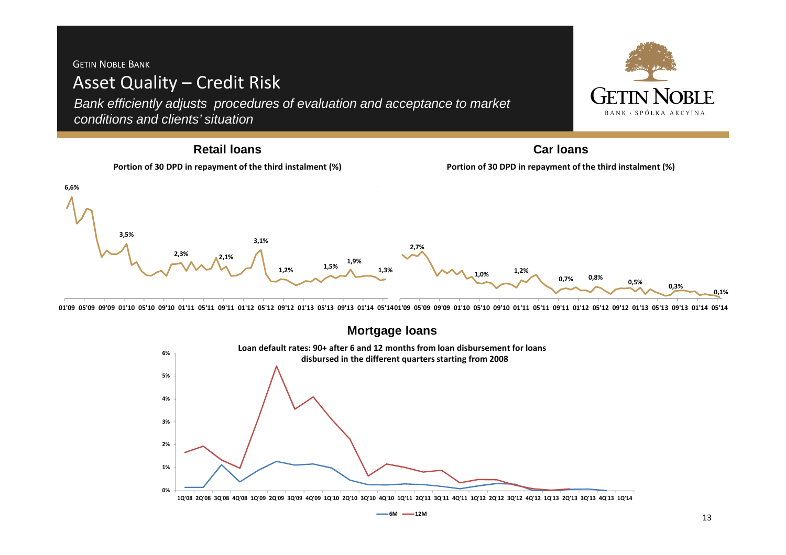### GETIN <sup>N</sup>OBLE <sup>B</sup>ANK Asset Quality – Credit Risk Getin Nori e Bank efficiently adjusts procedures of evaluation and acceptance to market BANK · SPÓŁKA AKCYINA conditions and clients' situation**Retail loansCar loansPortion of 30 DPD in repayment of the third instalment (%)Portion of 30 DPD in repayment of the third instalment (%)6,6%3,5%3,1%2,7%2,3%** $\lambda^2$ ,  $\lambda^{2,1\%}$  **1,5% 1,9% 1,3% 1,2% 1,2% 0,7%1,0% 0,8% 0,5% 0,3%0,1%**

01'09 05'09 09'09 01'10 05'10 09'10 01'11 05'11 09'11 01'12 05'12 09'12 01'13 05'13 09'13 01'14 05'1401'09 05'09 09'09 01'10 05'10 09'10 01'11 05'11 09'11 01'12 05'12 09'12 01'13 05'13 09'13 01'14 05'14 05'14 05'14 05'14 0



10'08 20'08 30'08 40'08 10'09 20'09 30'09 40'09 10'10 20'10 30'10 40'10 10'11 20'11 30'11 40'11 10'12 20'12 30'12 40'12 10'13 20'13 30'13 40'13 10'14

**6M 12M**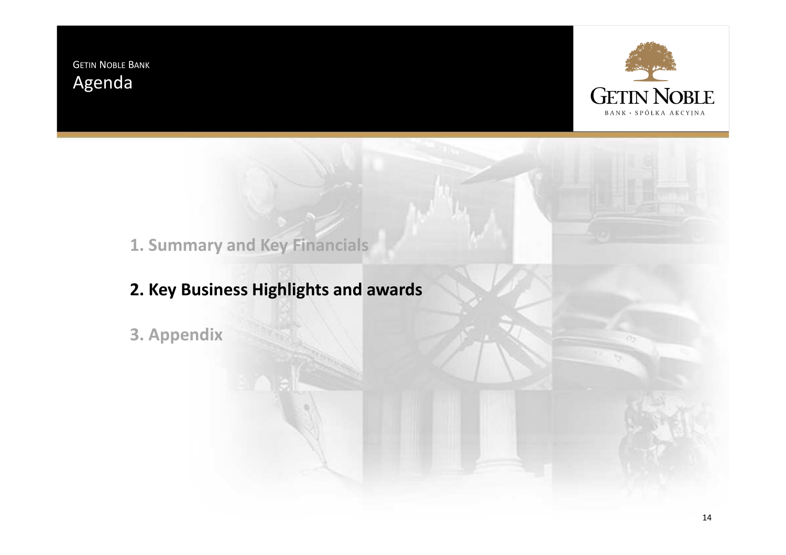GETIN <sup>N</sup>OBLE <sup>B</sup>ANK Agenda



**1. Summary and Key Financials**

**2. Key Business Highlights and awards**

**3. Appendix**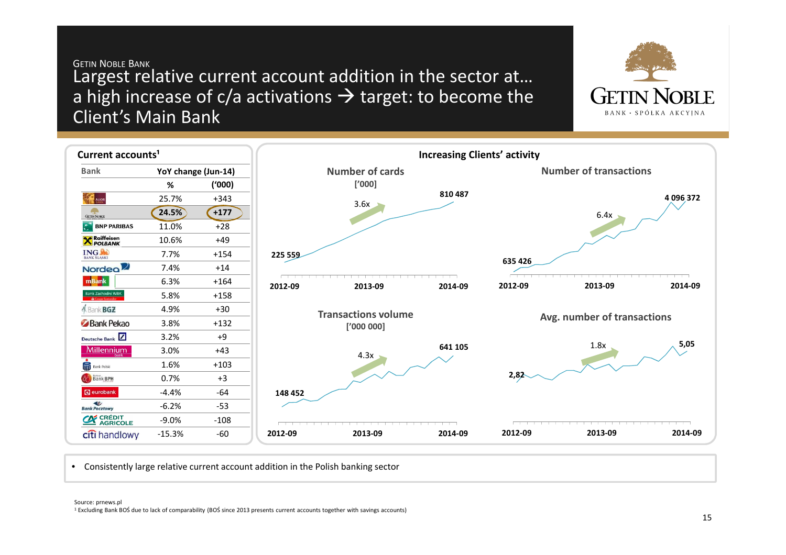### GETIN <sup>N</sup>OBLE <sup>B</sup>ANK Largest relative current account addition in the sector at…a high increase of c/a activations  $\rightarrow$  target: to become the<br>Client's Main Bank Client's Main Bank





• Consistently large relative current account addition in the Polish banking sector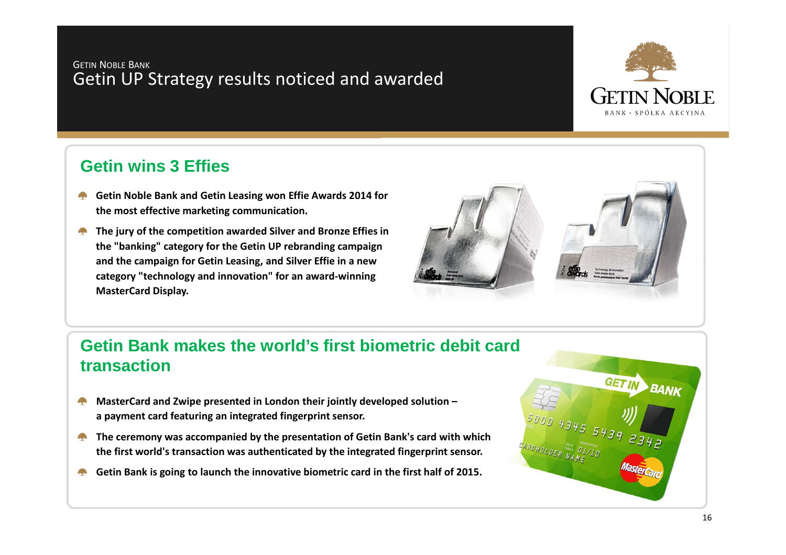### GETIN <sup>N</sup>OBLE <sup>B</sup>ANK Getin UP Strategy results noticed and awarded



## **Getin wins 3 Effies**

- **Getin Noble Bank and Getin Leasing won Effie Awards 2014 for the most effective marketing communication.**
- **The jury of the competition awarded Silver and Bronze Effies in the "banking" category for the Getin UP rebranding campaign and the campaign for Getin Leasing, and Silver Effie in a new category "technology and innovation" for an award-winning MasterCard Display.**



# **Getin Bank makes the world's first biometric debit card transaction**

- **MasterCard and Zwipe presented in London their jointly developed solution – Contract a payment card featuring an integrated fingerprint sensor.**
- **The ceremony was accompanied by the presentation of Getin Bank's card with which the first world's transaction was authenticated by the integrated fingerprint sensor.**
- **Getin Bank is going to launch the innovative biometric card in the first half of 2015. Contract**

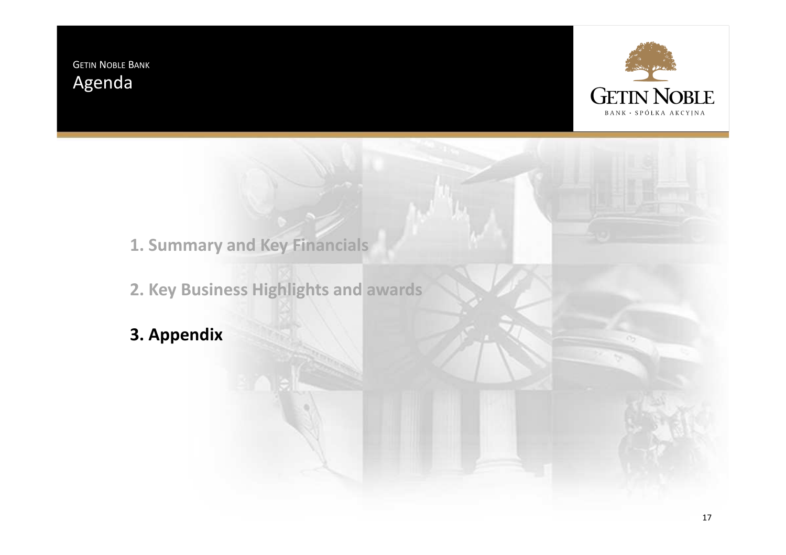GETIN <sup>N</sup>OBLE <sup>B</sup>ANK Agenda



- **1. Summary and Key Financials**
- **2. Key Business Highlights and awards**
- **3. Appendix**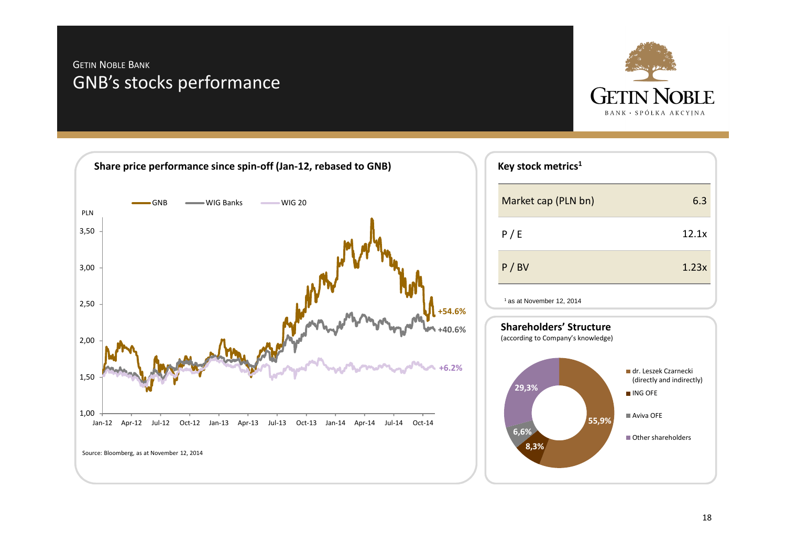### GETIN <sup>N</sup>OBLE <sup>B</sup>ANK GNB's stocks performance



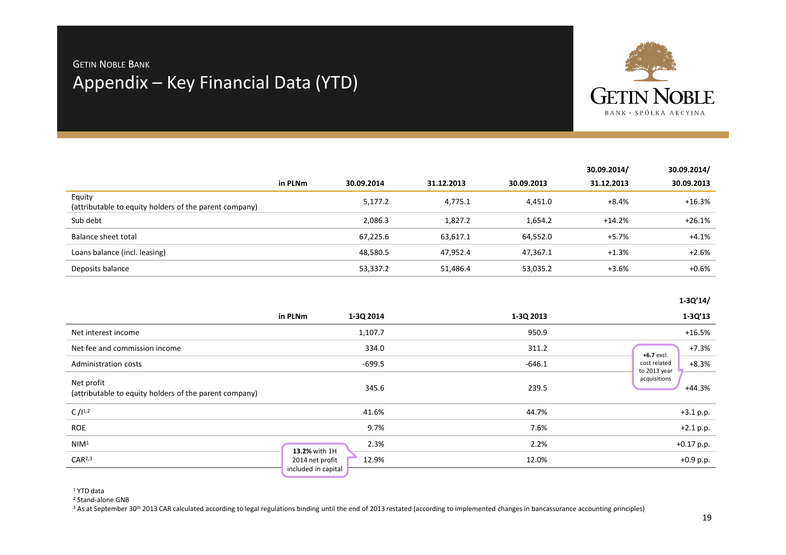# Appendix – Key Financial Data (YTD) Getin Noble Bank



|                                                                  |         |            |            |            | 30.09.2014/ | 30.09.2014/ |
|------------------------------------------------------------------|---------|------------|------------|------------|-------------|-------------|
|                                                                  | in PLNm | 30.09.2014 | 31.12.2013 | 30.09.2013 | 31.12.2013  | 30.09.2013  |
| Equity<br>(attributable to equity holders of the parent company) |         | 5,177.2    | 4,775.1    | 4,451.0    | +8.4%       | +16.3%      |
| Sub debt                                                         |         | 2,086.3    | 1,827.2    | 1,654.2    | $+14.2%$    | $+26.1%$    |
| Balance sheet total                                              |         | 67,225.6   | 63,617.1   | 64,552.0   | +5.7%       | $+4.1%$     |
| Loans balance (incl. leasing)                                    |         | 48,580.5   | 47,952.4   | 47,367.1   | $+1.3%$     | $+2.6%$     |
| Deposits balance                                                 |         | 53,337.2   | 51,486.4   | 53,035.2   | $+3.6%$     | $+0.6%$     |

**1-3Q'14/**

|                                                                      | in PLNm<br>1-3Q 2014                            | 1-3Q 2013 | $1 - 3Q'13$                             |
|----------------------------------------------------------------------|-------------------------------------------------|-----------|-----------------------------------------|
| Net interest income                                                  | 1,107.7                                         | 950.9     | $+16.5%$                                |
| Net fee and commission income                                        | 334.0                                           | 311.2     | $+7.3%$<br>+6.7 excl.                   |
| Administration costs                                                 | -699.5                                          | $-646.1$  | cost related<br>$+8.3%$<br>to 2013 year |
| Net profit<br>(attributable to equity holders of the parent company) | 345.6                                           | 239.5     | acquisitions<br>$+44.3%$                |
| C / 11.2                                                             | 41.6%                                           | 44.7%     | $+3.1 p.p.$                             |
| ROE                                                                  | 9.7%                                            | 7.6%      | $+2.1 p.p.$                             |
| NIM <sup>1</sup>                                                     | 2.3%<br>13.2% with 1H                           | 2.2%      | $+0.17$ p.p.                            |
| CAR <sup>2,3</sup>                                                   | 12.9%<br>2014 net profit<br>included in capital | 12.0%     | $+0.9$ p.p.                             |
|                                                                      |                                                 |           |                                         |

<sup>1</sup> YTD data

<sup>2</sup> Stand-alone GNB

<sup>3</sup> As at September 30<sup>th</sup> 2013 CAR calculated according to legal regulations binding until the end of 2013 restated (according to implemented changes in bancassurance accounting principles)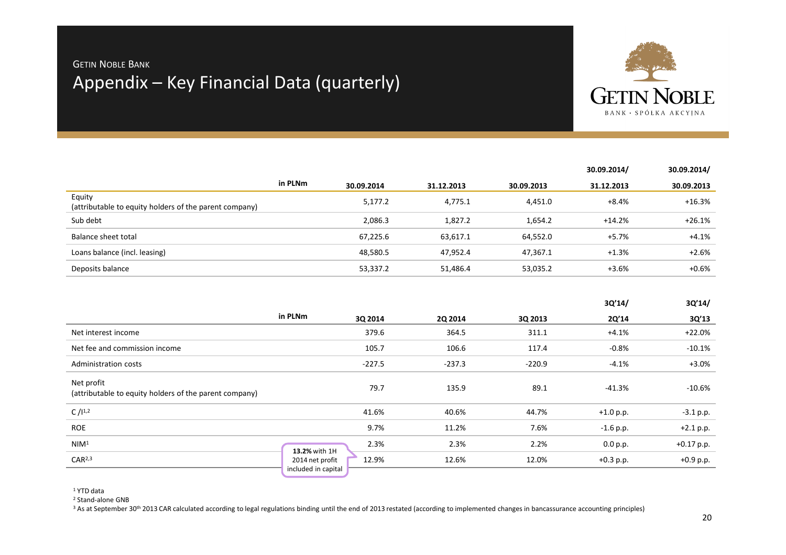# Appendix – Key Financial Data (quarterly) Getin Noble Bank



|                                                                  |         |            |            |            | 30.09.2014/ | 30.09.2014/ |
|------------------------------------------------------------------|---------|------------|------------|------------|-------------|-------------|
|                                                                  | in PLNm | 30.09.2014 | 31.12.2013 | 30.09.2013 | 31.12.2013  | 30.09.2013  |
| Equity<br>(attributable to equity holders of the parent company) |         | 5,177.2    | 4,775.1    | 4,451.0    | +8.4%       | $+16.3%$    |
| Sub debt                                                         |         | 2,086.3    | 1,827.2    | 1,654.2    | $+14.2%$    | +26.1%      |
| Balance sheet total                                              |         | 67,225.6   | 63,617.1   | 64,552.0   | +5.7%       | $+4.1%$     |
| Loans balance (incl. leasing)                                    |         | 48,580.5   | 47,952.4   | 47,367.1   | $+1.3%$     | $+2.6%$     |
| Deposits balance                                                 |         | 53,337.2   | 51,486.4   | 53,035.2   | +3.6%       | $+0.6%$     |

|                                                                      |                                                 |          |          | 3Q'14/      | 3Q'14/       |
|----------------------------------------------------------------------|-------------------------------------------------|----------|----------|-------------|--------------|
|                                                                      | in PLNm<br>3Q 2014                              | 2Q 2014  | 3Q 2013  | 2Q'14       | 3Q'13        |
| Net interest income                                                  | 379.6                                           | 364.5    | 311.1    | $+4.1%$     | $+22.0%$     |
| Net fee and commission income                                        | 105.7                                           | 106.6    | 117.4    | $-0.8%$     | $-10.1%$     |
| Administration costs                                                 | $-227.5$                                        | $-237.3$ | $-220.9$ | $-4.1%$     | $+3.0%$      |
| Net profit<br>(attributable to equity holders of the parent company) | 79.7                                            | 135.9    | 89.1     | $-41.3%$    | $-10.6%$     |
| C / 11.2                                                             | 41.6%                                           | 40.6%    | 44.7%    | $+1.0 p.p.$ | $-3.1 p.p.$  |
| <b>ROE</b>                                                           | 9.7%                                            | 11.2%    | 7.6%     | $-1.6$ p.p. | $+2.1 p.p.$  |
| NIM <sup>1</sup>                                                     | 2.3%<br>13.2% with 1H                           | 2.3%     | 2.2%     | 0.0 p.p.    | $+0.17$ p.p. |
| CAR <sup>2,3</sup>                                                   | 12.9%<br>2014 net profit<br>included in capital | 12.6%    | 12.0%    | $+0.3$ p.p. | $+0.9$ p.p.  |

1 YTD data

<sup>2</sup> Stand-alone GNB

<sup>3</sup> As at September 30<sup>th</sup> 2013 CAR calculated according to legal regulations binding until the end of 2013 restated (according to implemented changes in bancassurance accounting principles)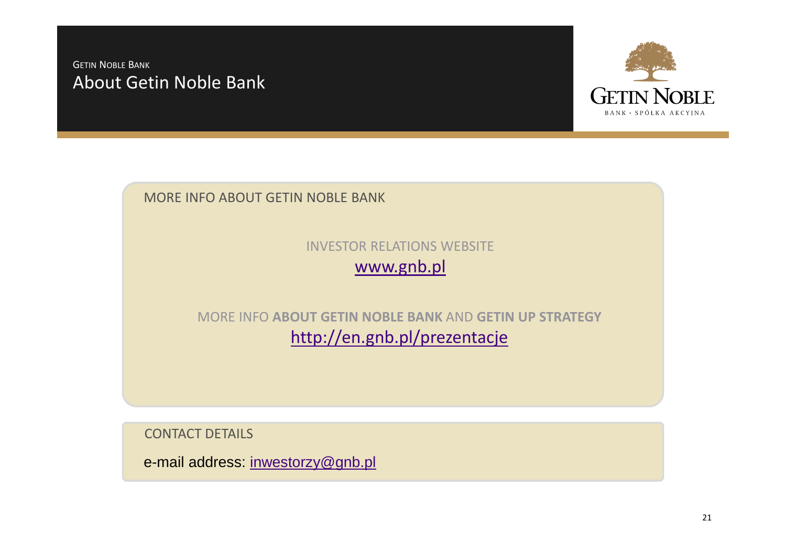### About Getin Noble Bank GETIN <sup>N</sup>OBLE <sup>B</sup>ANK



MORE INFO ABOUT GETIN NOBLE BANK

INVESTOR RELATIONS WEBSITEwww.gnb.pl

MORE INFO **ABOUT GETIN NOBLE BANK** AND **GETIN UP STRATEGY**http://en.gnb.pl/prezentacje

CONTACT DETAILS

e-mail address: inwestorzy@gnb.pl